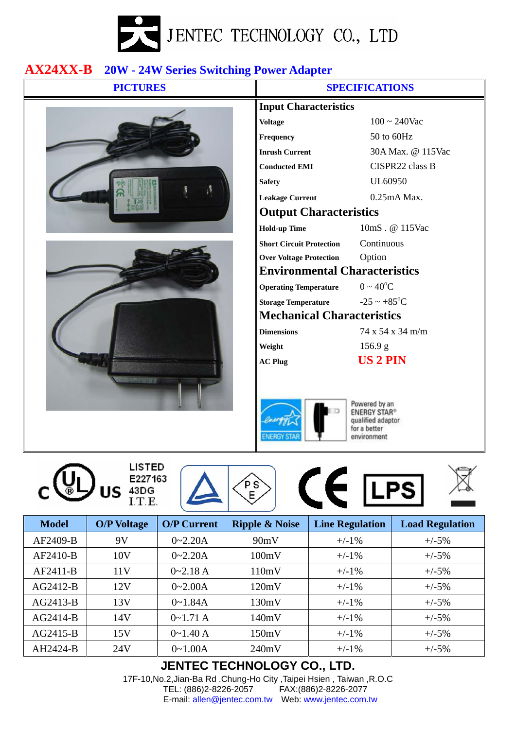

## **AX24XX-B 20W - 24W Series Switching Power Adapter**



**LISTED** 

E227163

 $\bigcup_{\text{US}}$   $\frac{E22716}{11.5}$ 

| JI EVIFIVALIUI 10                                  |                              |  |  |  |  |  |
|----------------------------------------------------|------------------------------|--|--|--|--|--|
| <b>Input Characteristics</b>                       |                              |  |  |  |  |  |
| <b>Voltage</b>                                     | $100 \sim 240$ Vac           |  |  |  |  |  |
| <b>Frequency</b>                                   | 50 to 60Hz                   |  |  |  |  |  |
| <b>Inrush Current</b>                              | 30A Max. @ 115Vac            |  |  |  |  |  |
| <b>Conducted EMI</b>                               | CISPR22 class B              |  |  |  |  |  |
| <b>Safety</b>                                      | UL60950                      |  |  |  |  |  |
| <b>Leakage Current</b>                             | $0.25mA$ Max.                |  |  |  |  |  |
| <b>Output Characteristics</b>                      |                              |  |  |  |  |  |
| <b>Hold-up Time</b>                                | 10mS. @ 115Vac               |  |  |  |  |  |
| <b>Short Circuit Protection</b>                    | Continuous                   |  |  |  |  |  |
| <b>Over Voltage Protection</b>                     | Option                       |  |  |  |  |  |
| <b>Environmental Characteristics</b>               |                              |  |  |  |  |  |
| <b>Operating Temperature</b> $0 \sim 40^{\circ}$ C |                              |  |  |  |  |  |
| Storage Temperature $-25 \sim +85^{\circ}C$        |                              |  |  |  |  |  |
| <b>Mechanical Characteristics</b>                  |                              |  |  |  |  |  |
| <b>Dimensions</b>                                  | $74 \times 54 \times 34$ m/m |  |  |  |  |  |
| Weight                                             | 156.9 g                      |  |  |  |  |  |
| <b>AC Plug</b>                                     | <b>US 2 PIN</b>              |  |  |  |  |  |
|                                                    |                              |  |  |  |  |  |
|                                                    |                              |  |  |  |  |  |



 $\left( \begin{array}{c} \bullet \\ \bullet \end{array} \right)$  ( $\in$  LPS)

Powered by an **ENERGY STAR®** qualified adaptor for a better environment



| <b>Model</b> | <b>O/P Voltage</b> | <b>O/P Current</b> | <b>Ripple &amp; Noise</b> | <b>Line Regulation</b> | <b>Load Regulation</b> |  |  |  |
|--------------|--------------------|--------------------|---------------------------|------------------------|------------------------|--|--|--|
| AF2409-B     | 9V                 | $0 - 2.20A$        | 90mV                      | $+/-1\%$               | $+/-5%$                |  |  |  |
| $AF2410-B$   | 10V                | $0 - 2.20A$        | 100mV                     | $+/-1\%$               | $+/-5%$                |  |  |  |
| $AF2411-B$   | 11V                | $0 - 2.18 A$       | 110mV                     | $+/-1\%$               | $+/-5%$                |  |  |  |
| $AG2412-B$   | 12V                | $0 - 2.00A$        | 120mV                     | $+/-1\%$               | $+/-5%$                |  |  |  |
| $AG2413-B$   | 13V                | $0 - 1.84A$        | 130mV                     | $+/-1\%$               | $+/-5%$                |  |  |  |
| $AG2414-B$   | 14V                | $0 - 1.71A$        | 140mV                     | $+/-1\%$               | $+/-5%$                |  |  |  |
| $AG2415-B$   | 15V                | $0 \sim 1.40 A$    | 150mV                     | $+/-1\%$               | $+/-5%$                |  |  |  |
| AH2424-B     | 24V                | $0 - 1.00A$        | 240mV                     | $+/-1\%$               | $+/-5%$                |  |  |  |

## **JENTEC TECHNOLOGY CO., LTD.**

17F-10,No.2,Jian-Ba Rd .Chung-Ho City ,Taipei Hsien , Taiwan ,R.O.C TEL: (886)2-8226-2057 FAX:(886)2-8226-2077 E-mail: allen@jentec.com.tw Web: www.jentec.com.tw